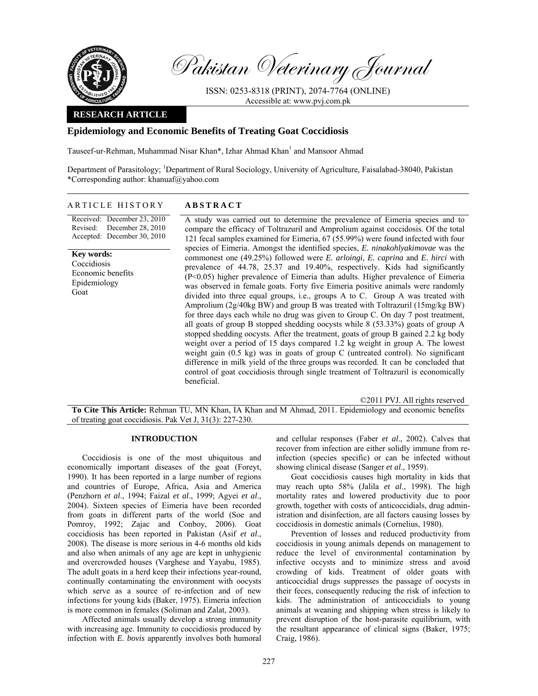

Pakistan Veterinary Journal

ISSN: 0253-8318 (PRINT), 2074-7764 (ONLINE) Accessible at: www.pvj.com.pk

## **RESEARCH ARTICLE**

# **Epidemiology and Economic Benefits of Treating Goat Coccidiosis**

Tauseef-ur-Rehman, Muhammad Nisar Khan\*, Izhar Ahmad Khan<sup>1</sup> and Mansoor Ahmad

Department of Parasitology; <sup>1</sup>Department of Rural Sociology, University of Agriculture, Faisalabad-38040, Pakistan \*Corresponding author: khanuaf@yahoo.com

## ARTICLE HISTORY **ABSTRACT**

Received: December 23, 2010 Revised: Accepted: December 30, 2010 December 28, 2010

**Key words:**  Coccidiosis Economic benefits Epidemiology Goat

A study was carried out to determine the prevalence of Eimeria species and to compare the efficacy of Toltrazuril and Amprolium against coccidosis. Of the total 121 fecal samples examined for Eimeria, 67 (55.99%) were found infected with four species of Eimeria. Amongst the identified species, *E. ninakohlyakimovae* was the commonest one (49.25%) followed were *E. arloingi, E. caprina* and *E. hirci* with prevalence of 44.78, 25.37 and 19.40%, respectively. Kids had significantly (P<0.05) higher prevalence of Eimeria than adults. Higher prevalence of Eimeria was observed in female goats. Forty five Eimeria positive animals were randomly divided into three equal groups, i.e., groups A to C. Group A was treated with Amprolium (2g/40kg BW) and group B was treated with Toltrazuril (15mg/kg BW) for three days each while no drug was given to Group C. On day 7 post treatment, all goats of group B stopped shedding oocysts while 8 (53.33%) goats of group A stopped shedding oocysts. After the treatment, goats of group B gained 2.2 kg body weight over a period of 15 days compared 1.2 kg weight in group A. The lowest weight gain (0.5 kg) was in goats of group C (untreated control). No significant difference in milk yield of the three groups was recorded. It can be concluded that control of goat coccidiosis through single treatment of Toltrazuril is economically beneficial.

©2011 PVJ. All rights reserved **To Cite This Article:** Rehman TU, MN Khan, IA Khan and M Ahmad, 2011. Epidemiology and economic benefits of treating goat coccidiosis. Pak Vet J, 31(3): 227-230.

## **INTRODUCTION**

Coccidiosis is one of the most ubiquitous and economically important diseases of the goat (Foreyt, 1990). It has been reported in a large number of regions and countries of Europe, Africa, Asia and America (Penzhorn *et al*., 1994; Faizal *et al*., 1999; Agyei *et al*., 2004). Sixteen species of Eimeria have been recorded from goats in different parts of the world (Soe and Pomroy, 1992; Zajac and Conboy, 2006). Goat coccidiosis has been reported in Pakistan (Asif *et al*., 2008). The disease is more serious in 4-6 months old kids and also when animals of any age are kept in unhygienic and overcrowded houses (Varghese and Yayabu, 1985). The adult goats in a herd keep their infections year-round, continually contaminating the environment with oocysts which serve as a source of re-infection and of new infections for young kids (Baker, 1975). Eimeria infection is more common in females (Soliman and Zalat, 2003).

Affected animals usually develop a strong immunity with increasing age. Immunity to coccidiosis produced by infection with *E. bovis* apparently involves both humoral and cellular responses (Faber *et al*., 2002). Calves that recover from infection are either solidly immune from reinfection (species specific) or can be infected without showing clinical disease (Sanger *et al*., 1959).

Goat coccidiosis causes high mortality in kids that may reach upto 58% (Jalila *et al*., 1998). The high mortality rates and lowered productivity due to poor growth, together with costs of anticoccidials, drug administration and disinfection, are all factors causing losses by coccidiosis in domestic animals (Cornelius, 1980).

Prevention of losses and reduced productivity from coccidiosis in young animals depends on management to reduce the level of environmental contamination by infective occysts and to minimize stress and avoid crowding of kids. Treatment of older goats with anticoccidial drugs suppresses the passage of oocysts in their feces, consequently reducing the risk of infection to kids. The administration of anticoccidials to young animals at weaning and shipping when stress is likely to prevent disruption of the host-parasite equilibrium, with the resultant appearance of clinical signs (Baker, 1975; Craig, 1986).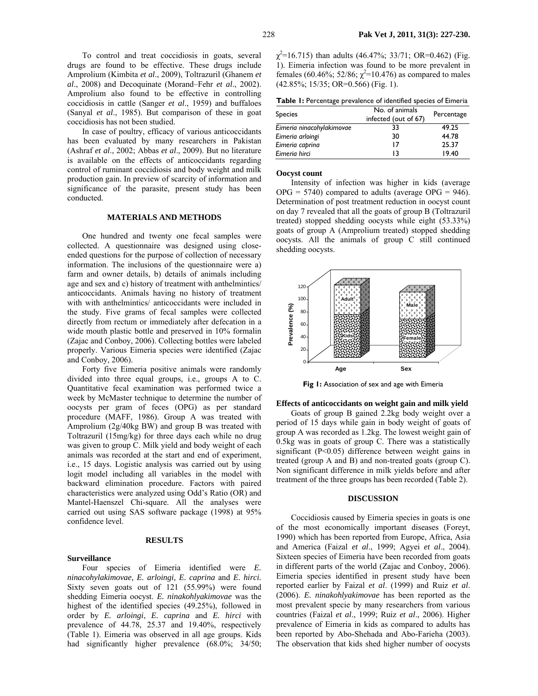To control and treat coccidiosis in goats, several drugs are found to be effective. These drugs include Amprolium (Kimbita *et al*., 2009), Toltrazuril (Ghanem *et al*., 2008) and Decoquinate (Morand–Fehr *et al*., 2002). Amprolium also found to be effective in controlling coccidiosis in cattle (Sanger *et al*., 1959) and buffaloes (Sanyal *et al*., 1985). But comparison of these in goat coccidiosis has not been studied.

In case of poultry, efficacy of various anticoccidants has been evaluated by many researchers in Pakistan (Ashraf *et al*., 2002; Abbas *et al*., 2009). But no literature is available on the effects of anticoccidants regarding control of ruminant coccidiosis and body weight and milk production gain. In preview of scarcity of information and significance of the parasite, present study has been conducted.

## **MATERIALS AND METHODS**

One hundred and twenty one fecal samples were collected. A questionnaire was designed using closeended questions for the purpose of collection of necessary information. The inclusions of the questionnaire were a) farm and owner details, b) details of animals including age and sex and c) history of treatment with anthelmintics/ anticoccidants. Animals having no history of treatment with with anthelmintics/ anticoccidants were included in the study. Five grams of fecal samples were collected directly from rectum or immediately after defecation in a wide mouth plastic bottle and preserved in 10% formalin (Zajac and Conboy, 2006). Collecting bottles were labeled properly. Various Eimeria species were identified (Zajac and Conboy, 2006).

Forty five Eimeria positive animals were randomly divided into three equal groups, i.e., groups A to C. Quantitative fecal examination was performed twice a week by McMaster technique to determine the number of oocysts per gram of feces (OPG) as per standard procedure (MAFF, 1986). Group A was treated with Amprolium (2g/40kg BW) and group B was treated with Toltrazuril (15mg/kg) for three days each while no drug was given to group C. Milk yield and body weight of each animals was recorded at the start and end of experiment, i.e., 15 days. Logistic analysis was carried out by using logit model including all variables in the model with backward elimination procedure. Factors with paired characteristics were analyzed using Odd's Ratio (OR) and Mantel-Haenszel Chi-square. All the analyses were carried out using SAS software package (1998) at 95% confidence level.

## **RESULTS**

#### **Surveillance**

Four species of Eimeria identified were *E. ninacohylakimovae, E. arloingi, E. caprina* and *E. hirci.*  Sixty seven goats out of 121 (55.99%) were found shedding Eimeria oocyst. *E. ninakohlyakimovae* was the highest of the identified species (49.25%), followed in order by *E. arloingi*, *E. caprina* and *E. hirci* with prevalence of 44.78, 25.37 and 19.40%, respectively (Table 1). Eimeria was observed in all age groups. Kids had significantly higher prevalence (68.0%; 34/50;

 $\chi^2$ =16.715) than adults (46.47%; 33/71; OR=0.462) (Fig. 1). Eimeria infection was found to be more prevalent in females (60.46%; 52/86;  $\chi^2$ =10.476) as compared to males (42.85%; 15/35; OR=0.566) (Fig. 1).

| Table 1: Percentage prevalence of identified species of Eimeria |  |  |
|-----------------------------------------------------------------|--|--|
|-----------------------------------------------------------------|--|--|

| <b>Species</b>            | No. of animals<br>infected (out of 67) | Percentage |  |
|---------------------------|----------------------------------------|------------|--|
| Eimeria ninacohylakimovae | 33                                     | 49.25      |  |
| Eimeria arloingi          | 30                                     | 44.78      |  |
| Eimeria caprina           | 17                                     | 25.37      |  |
| Eimeria hirci             | 13                                     | 19.40      |  |

#### **Oocyst count**

Intensity of infection was higher in kids (average  $OPG = 5740$  compared to adults (average  $OPG = 946$ ). Determination of post treatment reduction in oocyst count on day 7 revealed that all the goats of group B (Toltrazuril treated) stopped shedding oocysts while eight (53.33%) goats of group A (Amprolium treated) stopped shedding oocysts. All the animals of group C still continued shedding oocysts.



**Fig 1:** Association of sex and age with Eimeria

**Effects of anticoccidants on weight gain and milk yield** 

Goats of group B gained 2.2kg body weight over a period of 15 days while gain in body weight of goats of group A was recorded as 1.2kg. The lowest weight gain of 0.5kg was in goats of group C. There was a statistically significant (P<0.05) difference between weight gains in treated (group A and B) and non-treated goats (group C). Non significant difference in milk yields before and after treatment of the three groups has been recorded (Table 2).

### **DISCUSSION**

Coccidiosis caused by Eimeria species in goats is one of the most economically important diseases (Foreyt, 1990) which has been reported from Europe, Africa, Asia and America (Faizal *et al*., 1999; Agyei *et al*., 2004). Sixteen species of Eimeria have been recorded from goats in different parts of the world (Zajac and Conboy, 2006). Eimeria species identified in present study have been reported earlier by Faizal *et al*. (1999) and Ruiz *et al*. (2006). *E. ninakohlyakimovae* has been reported as the most prevalent specie by many researchers from various countries (Faizal *et al*., 1999; Ruiz *et al*., 2006). Higher prevalence of Eimeria in kids as compared to adults has been reported by Abo-Shehada and Abo-Farieha (2003). The observation that kids shed higher number of oocysts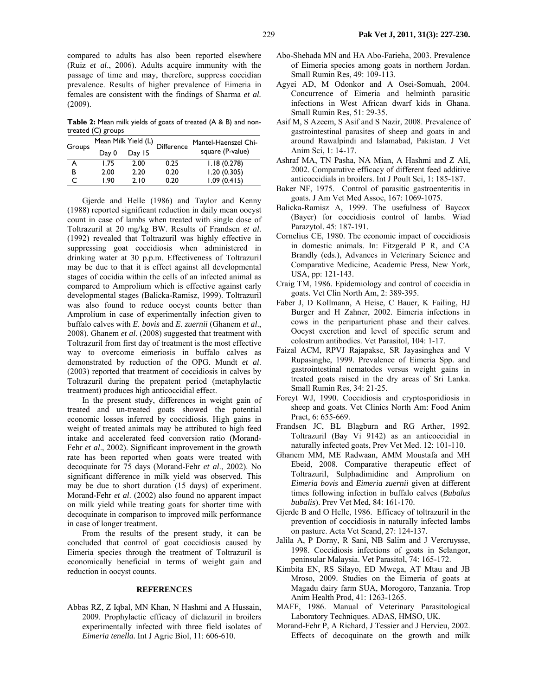compared to adults has also been reported elsewhere (Ruiz *et al*., 2006). Adults acquire immunity with the passage of time and may, therefore, suppress coccidian prevalence. Results of higher prevalence of Eimeria in females are consistent with the findings of Sharma *et al.* (2009).

**Table 2:** Mean milk yields of goats of treated (A & B) and nontreated (C) groups

| Groups | Mean Milk Yield (L) |        | <b>Difference</b> | Mantel-Haenszel Chi- |
|--------|---------------------|--------|-------------------|----------------------|
|        | Day 0               | Day 15 |                   | square (P-value)     |
|        | 1.75                | 2.00   | 0.25              | 1.18(0.278)          |
| в      | 2.00                | 2.20   | 0.20              | 1.20(0.305)          |
|        | I.90                | 2.10   | 0.20              | 1.09(0.415)          |

Gjerde and Helle (1986) and Taylor and Kenny (1988) reported significant reduction in daily mean oocyst count in case of lambs when treated with single dose of Toltrazuril at 20 mg/kg BW. Results of Frandsen *et al*. (1992) revealed that Toltrazuril was highly effective in suppressing goat coccidiosis when administered in drinking water at 30 p.p.m. Effectiveness of Toltrazuril may be due to that it is effect against all developmental stages of cocidia within the cells of an infected animal as compared to Amprolium which is effective against early developmental stages (Balicka-Ramisz, 1999). Toltrazuril was also found to reduce oocyst counts better than Amprolium in case of experimentally infection given to buffalo calves with *E. bovis* and *E. zuernii* (Ghanem *et al*., 2008). Ghanem *et al*. (2008) suggested that treatment with Toltrazuril from first day of treatment is the most effective way to overcome eimeriosis in buffalo calves as demonstrated by reduction of the OPG. Mundt *et al*. (2003) reported that treatment of coccidiosis in calves by Toltrazuril during the prepatent period (metaphylactic treatment) produces high anticoccidial effect.

In the present study, differences in weight gain of treated and un-treated goats showed the potential economic losses inferred by coccidiosis. High gains in weight of treated animals may be attributed to high feed intake and accelerated feed conversion ratio (Morand-Fehr *et al*., 2002). Significant improvement in the growth rate has been reported when goats were treated with decoquinate for 75 days (Morand-Fehr *et al*., 2002). No significant difference in milk yield was observed. This may be due to short duration (15 days) of experiment. Morand-Fehr *et al*. (2002) also found no apparent impact on milk yield while treating goats for shorter time with decoquinate in comparison to improved milk performance in case of longer treatment.

From the results of the present study, it can be concluded that control of goat coccidiosis caused by Eimeria species through the treatment of Toltrazuril is economically beneficial in terms of weight gain and reduction in oocyst counts.

# **REFERENCES**

Abbas RZ, Z Iqbal, MN Khan, N Hashmi and A Hussain, 2009. Prophylactic efficacy of diclazuril in broilers experimentally infected with three field isolates of *Eimeria tenella.* Int J Agric Biol, 11: 606-610.

- Abo-Shehada MN and HA Abo-Farieha, 2003. Prevalence of Eimeria species among goats in northern Jordan. Small Rumin Res, 49: 109-113.
- Agyei AD, M Odonkor and A Osei-Somuah, 2004. Concurrence of Eimeria and helminth parasitic infections in West African dwarf kids in Ghana. Small Rumin Res, 51: 29-35.
- Asif M, S Azeem, S Asif and S Nazir, 2008. Prevalence of gastrointestinal parasites of sheep and goats in and around Rawalpindi and Islamabad, Pakistan. J Vet Anim Sci, 1: 14-17.
- Ashraf MA, TN Pasha, NA Mian, A Hashmi and Z Ali, 2002. Comparative efficacy of different feed additive anticoccidials in broilers. Int J Poult Sci, 1: 185-187.
- Baker NF, 1975. Control of parasitic gastroenteritis in goats. J Am Vet Med Assoc, 167: 1069-1075.
- Balicka-Ramisz A, 1999. The usefulness of Baycox (Bayer) for coccidiosis control of lambs. Wiad Parazytol. 45: 187-191.
- Cornelius CE, 1980. The economic impact of coccidiosis in domestic animals. In: Fitzgerald P R, and CA Brandly (eds.), Advances in Veterinary Science and Comparative Medicine, Academic Press, New York, USA, pp: 121-143.
- Craig TM, 1986. Epidemiology and control of coccidia in goats. Vet Clin North Am, 2: 389-395.
- Faber J, D Kollmann, A Heise, C Bauer, K Failing, HJ Burger and H Zahner, 2002. Eimeria infections in cows in the periparturient phase and their calves. Oocyst excretion and level of specific serum and colostrum antibodies. Vet Parasitol, 104: 1-17.
- Faizal ACM, RPVJ Rajapakse, SR Jayasinghea and V Rupasinghe, 1999. Prevalence of Eimeria Spp. and gastrointestinal nematodes versus weight gains in treated goats raised in the dry areas of Sri Lanka. Small Rumin Res, 34: 21-25.
- Foreyt WJ, 1990. Coccidiosis and cryptosporidiosis in sheep and goats. Vet Clinics North Am: Food Anim Pract, 6: 655-669.
- Frandsen JC, BL Blagburn and RG Arther, 1992. Toltrazuril (Bay Vi 9142) as an anticoccidial in naturally infected goats, Prev Vet Med. 12: 101-110.
- Ghanem MM, ME Radwaan, AMM Moustafa and MH Ebeid, 2008. Comparative therapeutic effect of Toltrazuril, Sulphadimidine and Amprolium on *Eimeria bovis* and *Eimeria zuernii* given at different times following infection in buffalo calves (*Bubalus bubalis*). Prev Vet Med, 84: 161-170.
- Gjerde B and O Helle, 1986. Efficacy of toltrazuril in the prevention of coccidiosis in naturally infected lambs on pasture. Acta Vet Scand, 27: 124-137.
- Jalila A, P Dorny, R Sani, NB Salim and J Vercruysse, 1998. Coccidiosis infections of goats in Selangor, peninsular Malaysia. Vet Parasitol, 74: 165-172.
- Kimbita EN, RS Silayo, ED Mwega, AT Mtau and JB Mroso, 2009. Studies on the Eimeria of goats at Magadu dairy farm SUA, Morogoro, Tanzania. Trop Anim Health Prod, 41: 1263-1265.
- MAFF, 1986. Manual of Veterinary Parasitological Laboratory Techniques. ADAS, HMSO, UK.
- Morand-Fehr P, A Richard, J Tessier and J Hervieu, 2002. Effects of decoquinate on the growth and milk